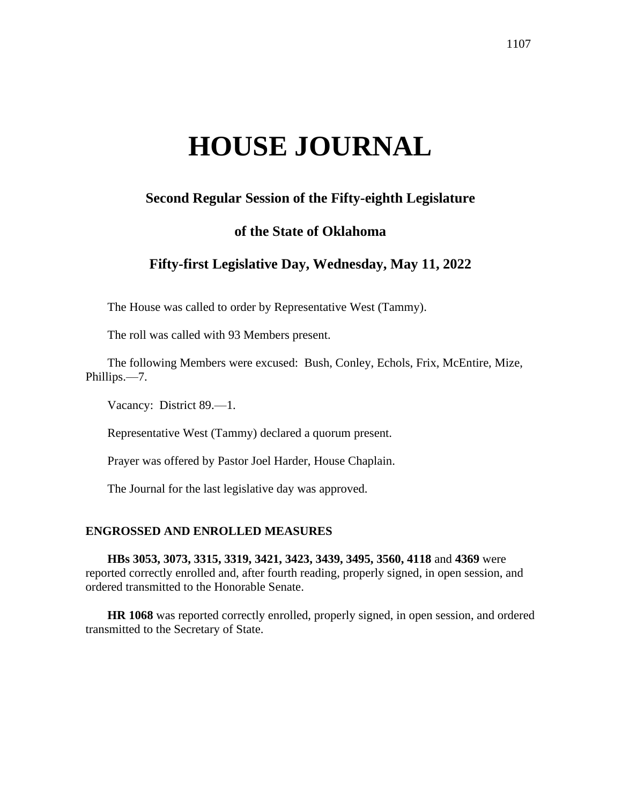# **HOUSE JOURNAL**

# **Second Regular Session of the Fifty-eighth Legislature**

# **of the State of Oklahoma**

# **Fifty-first Legislative Day, Wednesday, May 11, 2022**

The House was called to order by Representative West (Tammy).

The roll was called with 93 Members present.

The following Members were excused: Bush, Conley, Echols, Frix, McEntire, Mize, Phillips.—7.

Vacancy: District 89.—1.

Representative West (Tammy) declared a quorum present.

Prayer was offered by Pastor Joel Harder, House Chaplain.

The Journal for the last legislative day was approved.

#### **ENGROSSED AND ENROLLED MEASURES**

**HBs 3053, 3073, 3315, 3319, 3421, 3423, 3439, 3495, 3560, 4118** and **4369** were reported correctly enrolled and, after fourth reading, properly signed, in open session, and ordered transmitted to the Honorable Senate.

**HR 1068** was reported correctly enrolled, properly signed, in open session, and ordered transmitted to the Secretary of State.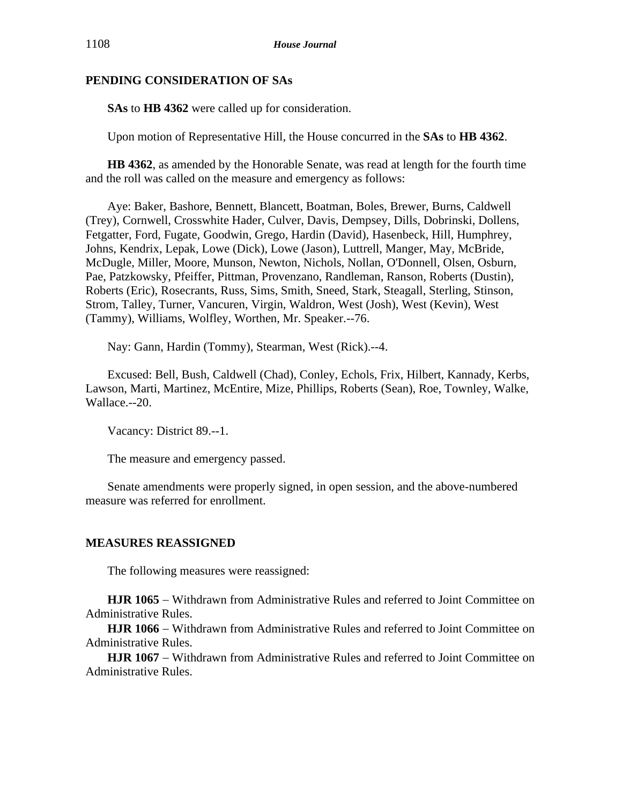## **PENDING CONSIDERATION OF SAs**

**SAs** to **HB 4362** were called up for consideration.

Upon motion of Representative Hill, the House concurred in the **SAs** to **HB 4362**.

**HB 4362**, as amended by the Honorable Senate, was read at length for the fourth time and the roll was called on the measure and emergency as follows:

Aye: Baker, Bashore, Bennett, Blancett, Boatman, Boles, Brewer, Burns, Caldwell (Trey), Cornwell, Crosswhite Hader, Culver, Davis, Dempsey, Dills, Dobrinski, Dollens, Fetgatter, Ford, Fugate, Goodwin, Grego, Hardin (David), Hasenbeck, Hill, Humphrey, Johns, Kendrix, Lepak, Lowe (Dick), Lowe (Jason), Luttrell, Manger, May, McBride, McDugle, Miller, Moore, Munson, Newton, Nichols, Nollan, O'Donnell, Olsen, Osburn, Pae, Patzkowsky, Pfeiffer, Pittman, Provenzano, Randleman, Ranson, Roberts (Dustin), Roberts (Eric), Rosecrants, Russ, Sims, Smith, Sneed, Stark, Steagall, Sterling, Stinson, Strom, Talley, Turner, Vancuren, Virgin, Waldron, West (Josh), West (Kevin), West (Tammy), Williams, Wolfley, Worthen, Mr. Speaker.--76.

Nay: Gann, Hardin (Tommy), Stearman, West (Rick).--4.

Excused: Bell, Bush, Caldwell (Chad), Conley, Echols, Frix, Hilbert, Kannady, Kerbs, Lawson, Marti, Martinez, McEntire, Mize, Phillips, Roberts (Sean), Roe, Townley, Walke, Wallace.--20.

Vacancy: District 89.--1.

The measure and emergency passed.

Senate amendments were properly signed, in open session, and the above-numbered measure was referred for enrollment.

## **MEASURES REASSIGNED**

The following measures were reassigned:

**HJR 1065** − Withdrawn from Administrative Rules and referred to Joint Committee on Administrative Rules.

**HJR 1066** − Withdrawn from Administrative Rules and referred to Joint Committee on Administrative Rules.

**HJR 1067** − Withdrawn from Administrative Rules and referred to Joint Committee on Administrative Rules.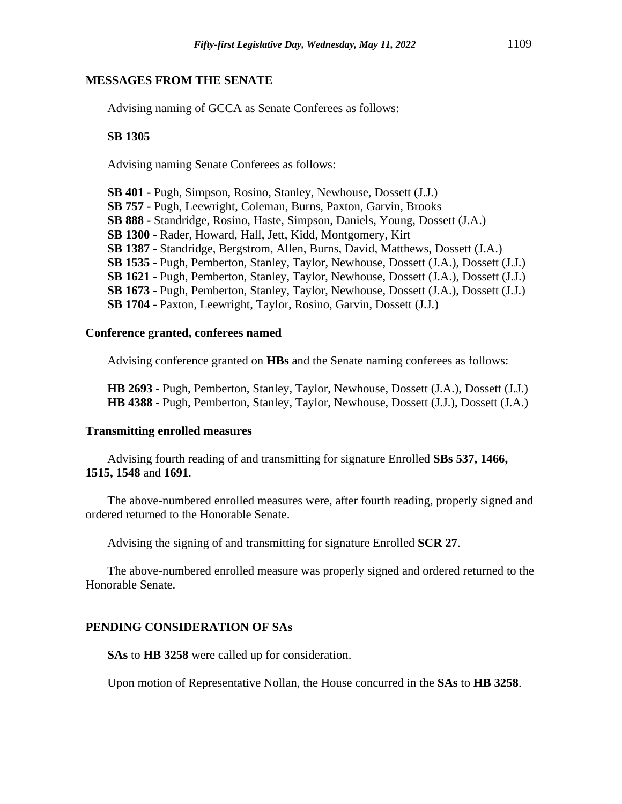#### **MESSAGES FROM THE SENATE**

Advising naming of GCCA as Senate Conferees as follows:

## **SB 1305**

Advising naming Senate Conferees as follows:

**SB 401 -** Pugh, Simpson, Rosino, Stanley, Newhouse, Dossett (J.J.) **SB 757 -** Pugh, Leewright, Coleman, Burns, Paxton, Garvin, Brooks **SB 888 -** Standridge, Rosino, Haste, Simpson, Daniels, Young, Dossett (J.A.) **SB 1300 -** Rader, Howard, Hall, Jett, Kidd, Montgomery, Kirt **SB 1387** - Standridge, Bergstrom, Allen, Burns, David, Matthews, Dossett (J.A.) **SB 1535 -** Pugh, Pemberton, Stanley, Taylor, Newhouse, Dossett (J.A.), Dossett (J.J.) **SB 1621 -** Pugh, Pemberton, Stanley, Taylor, Newhouse, Dossett (J.A.), Dossett (J.J.) **SB 1673 -** Pugh, Pemberton, Stanley, Taylor, Newhouse, Dossett (J.A.), Dossett (J.J.) **SB 1704** - Paxton, Leewright, Taylor, Rosino, Garvin, Dossett (J.J.)

## **Conference granted, conferees named**

Advising conference granted on **HBs** and the Senate naming conferees as follows:

**HB 2693 -** Pugh, Pemberton, Stanley, Taylor, Newhouse, Dossett (J.A.), Dossett (J.J.) **HB 4388 -** Pugh, Pemberton, Stanley, Taylor, Newhouse, Dossett (J.J.), Dossett (J.A.)

#### **Transmitting enrolled measures**

Advising fourth reading of and transmitting for signature Enrolled **SBs 537, 1466, 1515, 1548** and **1691**.

The above-numbered enrolled measures were, after fourth reading, properly signed and ordered returned to the Honorable Senate.

Advising the signing of and transmitting for signature Enrolled **SCR 27**.

The above-numbered enrolled measure was properly signed and ordered returned to the Honorable Senate.

## **PENDING CONSIDERATION OF SAs**

**SAs** to **HB 3258** were called up for consideration.

Upon motion of Representative Nollan, the House concurred in the **SAs** to **HB 3258**.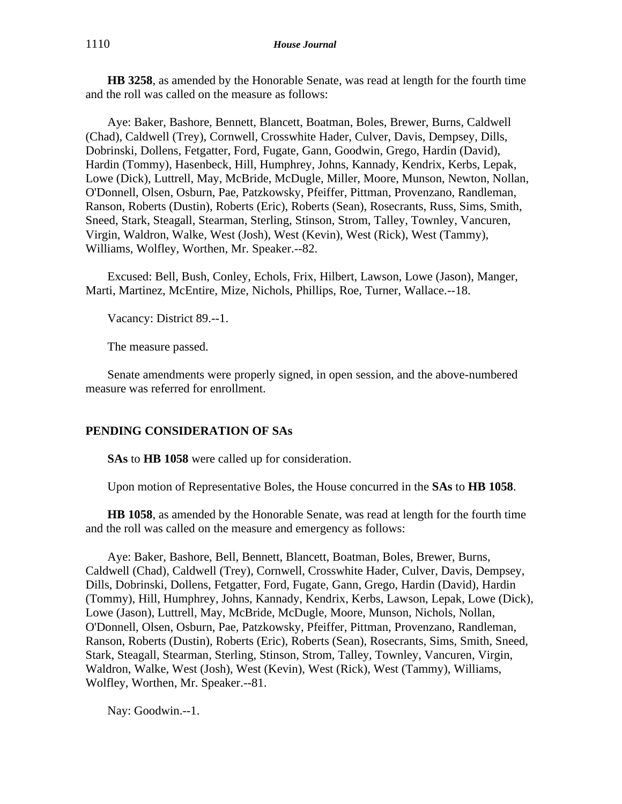**HB 3258**, as amended by the Honorable Senate, was read at length for the fourth time and the roll was called on the measure as follows:

Aye: Baker, Bashore, Bennett, Blancett, Boatman, Boles, Brewer, Burns, Caldwell (Chad), Caldwell (Trey), Cornwell, Crosswhite Hader, Culver, Davis, Dempsey, Dills, Dobrinski, Dollens, Fetgatter, Ford, Fugate, Gann, Goodwin, Grego, Hardin (David), Hardin (Tommy), Hasenbeck, Hill, Humphrey, Johns, Kannady, Kendrix, Kerbs, Lepak, Lowe (Dick), Luttrell, May, McBride, McDugle, Miller, Moore, Munson, Newton, Nollan, O'Donnell, Olsen, Osburn, Pae, Patzkowsky, Pfeiffer, Pittman, Provenzano, Randleman, Ranson, Roberts (Dustin), Roberts (Eric), Roberts (Sean), Rosecrants, Russ, Sims, Smith, Sneed, Stark, Steagall, Stearman, Sterling, Stinson, Strom, Talley, Townley, Vancuren, Virgin, Waldron, Walke, West (Josh), West (Kevin), West (Rick), West (Tammy), Williams, Wolfley, Worthen, Mr. Speaker.--82.

Excused: Bell, Bush, Conley, Echols, Frix, Hilbert, Lawson, Lowe (Jason), Manger, Marti, Martinez, McEntire, Mize, Nichols, Phillips, Roe, Turner, Wallace.--18.

Vacancy: District 89.--1.

The measure passed.

Senate amendments were properly signed, in open session, and the above-numbered measure was referred for enrollment.

## **PENDING CONSIDERATION OF SAs**

**SAs** to **HB 1058** were called up for consideration.

Upon motion of Representative Boles, the House concurred in the **SAs** to **HB 1058**.

**HB 1058**, as amended by the Honorable Senate, was read at length for the fourth time and the roll was called on the measure and emergency as follows:

Aye: Baker, Bashore, Bell, Bennett, Blancett, Boatman, Boles, Brewer, Burns, Caldwell (Chad), Caldwell (Trey), Cornwell, Crosswhite Hader, Culver, Davis, Dempsey, Dills, Dobrinski, Dollens, Fetgatter, Ford, Fugate, Gann, Grego, Hardin (David), Hardin (Tommy), Hill, Humphrey, Johns, Kannady, Kendrix, Kerbs, Lawson, Lepak, Lowe (Dick), Lowe (Jason), Luttrell, May, McBride, McDugle, Moore, Munson, Nichols, Nollan, O'Donnell, Olsen, Osburn, Pae, Patzkowsky, Pfeiffer, Pittman, Provenzano, Randleman, Ranson, Roberts (Dustin), Roberts (Eric), Roberts (Sean), Rosecrants, Sims, Smith, Sneed, Stark, Steagall, Stearman, Sterling, Stinson, Strom, Talley, Townley, Vancuren, Virgin, Waldron, Walke, West (Josh), West (Kevin), West (Rick), West (Tammy), Williams, Wolfley, Worthen, Mr. Speaker.--81.

Nay: Goodwin.--1.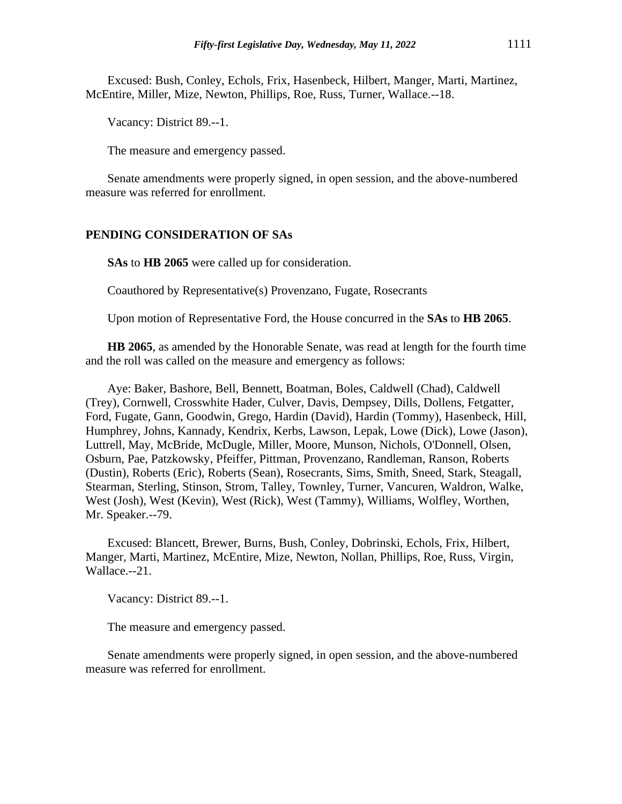Excused: Bush, Conley, Echols, Frix, Hasenbeck, Hilbert, Manger, Marti, Martinez, McEntire, Miller, Mize, Newton, Phillips, Roe, Russ, Turner, Wallace.--18.

Vacancy: District 89.--1.

The measure and emergency passed.

Senate amendments were properly signed, in open session, and the above-numbered measure was referred for enrollment.

#### **PENDING CONSIDERATION OF SAs**

**SAs** to **HB 2065** were called up for consideration.

Coauthored by Representative(s) Provenzano, Fugate, Rosecrants

Upon motion of Representative Ford, the House concurred in the **SAs** to **HB 2065**.

**HB 2065**, as amended by the Honorable Senate, was read at length for the fourth time and the roll was called on the measure and emergency as follows:

Aye: Baker, Bashore, Bell, Bennett, Boatman, Boles, Caldwell (Chad), Caldwell (Trey), Cornwell, Crosswhite Hader, Culver, Davis, Dempsey, Dills, Dollens, Fetgatter, Ford, Fugate, Gann, Goodwin, Grego, Hardin (David), Hardin (Tommy), Hasenbeck, Hill, Humphrey, Johns, Kannady, Kendrix, Kerbs, Lawson, Lepak, Lowe (Dick), Lowe (Jason), Luttrell, May, McBride, McDugle, Miller, Moore, Munson, Nichols, O'Donnell, Olsen, Osburn, Pae, Patzkowsky, Pfeiffer, Pittman, Provenzano, Randleman, Ranson, Roberts (Dustin), Roberts (Eric), Roberts (Sean), Rosecrants, Sims, Smith, Sneed, Stark, Steagall, Stearman, Sterling, Stinson, Strom, Talley, Townley, Turner, Vancuren, Waldron, Walke, West (Josh), West (Kevin), West (Rick), West (Tammy), Williams, Wolfley, Worthen, Mr. Speaker.--79.

Excused: Blancett, Brewer, Burns, Bush, Conley, Dobrinski, Echols, Frix, Hilbert, Manger, Marti, Martinez, McEntire, Mize, Newton, Nollan, Phillips, Roe, Russ, Virgin, Wallace.--21.

Vacancy: District 89.--1.

The measure and emergency passed.

Senate amendments were properly signed, in open session, and the above-numbered measure was referred for enrollment.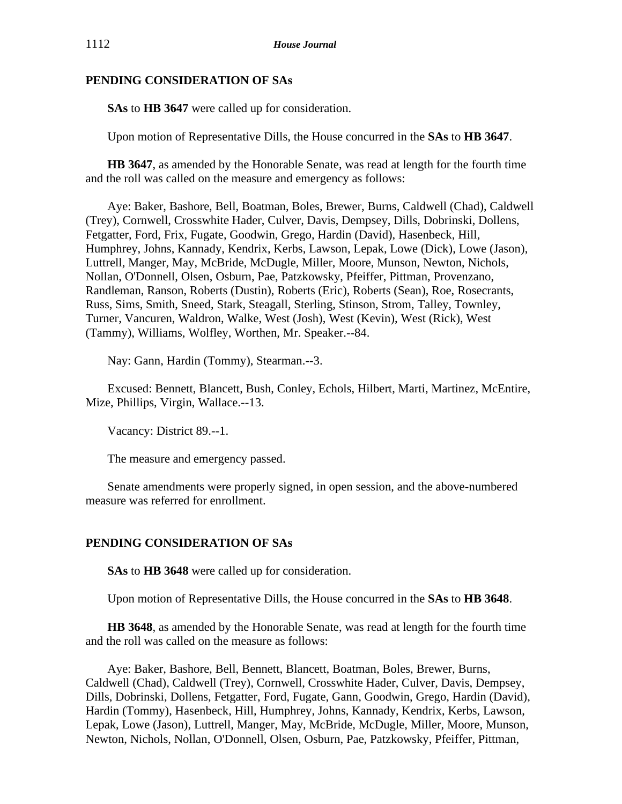## **PENDING CONSIDERATION OF SAs**

**SAs** to **HB 3647** were called up for consideration.

Upon motion of Representative Dills, the House concurred in the **SAs** to **HB 3647**.

**HB 3647**, as amended by the Honorable Senate, was read at length for the fourth time and the roll was called on the measure and emergency as follows:

Aye: Baker, Bashore, Bell, Boatman, Boles, Brewer, Burns, Caldwell (Chad), Caldwell (Trey), Cornwell, Crosswhite Hader, Culver, Davis, Dempsey, Dills, Dobrinski, Dollens, Fetgatter, Ford, Frix, Fugate, Goodwin, Grego, Hardin (David), Hasenbeck, Hill, Humphrey, Johns, Kannady, Kendrix, Kerbs, Lawson, Lepak, Lowe (Dick), Lowe (Jason), Luttrell, Manger, May, McBride, McDugle, Miller, Moore, Munson, Newton, Nichols, Nollan, O'Donnell, Olsen, Osburn, Pae, Patzkowsky, Pfeiffer, Pittman, Provenzano, Randleman, Ranson, Roberts (Dustin), Roberts (Eric), Roberts (Sean), Roe, Rosecrants, Russ, Sims, Smith, Sneed, Stark, Steagall, Sterling, Stinson, Strom, Talley, Townley, Turner, Vancuren, Waldron, Walke, West (Josh), West (Kevin), West (Rick), West (Tammy), Williams, Wolfley, Worthen, Mr. Speaker.--84.

Nay: Gann, Hardin (Tommy), Stearman.--3.

Excused: Bennett, Blancett, Bush, Conley, Echols, Hilbert, Marti, Martinez, McEntire, Mize, Phillips, Virgin, Wallace.--13.

Vacancy: District 89.--1.

The measure and emergency passed.

Senate amendments were properly signed, in open session, and the above-numbered measure was referred for enrollment.

## **PENDING CONSIDERATION OF SAs**

**SAs** to **HB 3648** were called up for consideration.

Upon motion of Representative Dills, the House concurred in the **SAs** to **HB 3648**.

**HB 3648**, as amended by the Honorable Senate, was read at length for the fourth time and the roll was called on the measure as follows:

Aye: Baker, Bashore, Bell, Bennett, Blancett, Boatman, Boles, Brewer, Burns, Caldwell (Chad), Caldwell (Trey), Cornwell, Crosswhite Hader, Culver, Davis, Dempsey, Dills, Dobrinski, Dollens, Fetgatter, Ford, Fugate, Gann, Goodwin, Grego, Hardin (David), Hardin (Tommy), Hasenbeck, Hill, Humphrey, Johns, Kannady, Kendrix, Kerbs, Lawson, Lepak, Lowe (Jason), Luttrell, Manger, May, McBride, McDugle, Miller, Moore, Munson, Newton, Nichols, Nollan, O'Donnell, Olsen, Osburn, Pae, Patzkowsky, Pfeiffer, Pittman,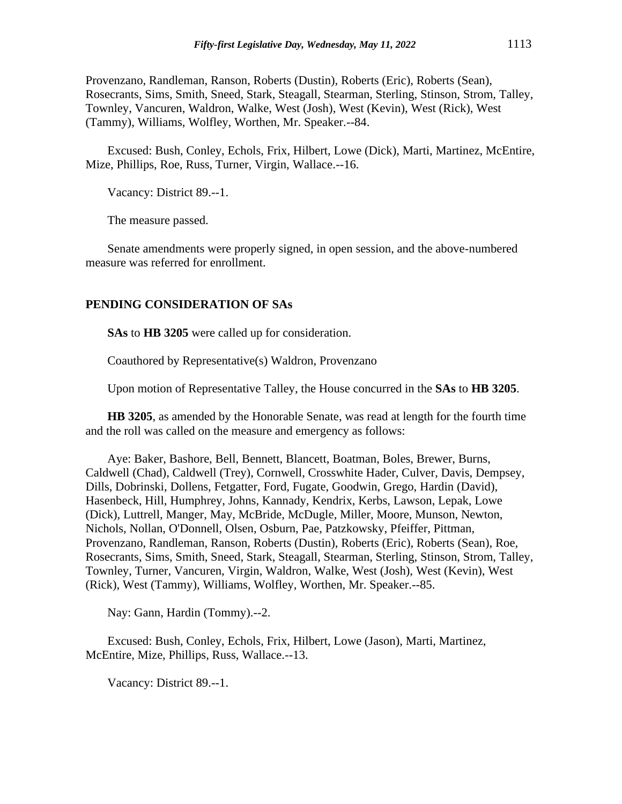Provenzano, Randleman, Ranson, Roberts (Dustin), Roberts (Eric), Roberts (Sean), Rosecrants, Sims, Smith, Sneed, Stark, Steagall, Stearman, Sterling, Stinson, Strom, Talley, Townley, Vancuren, Waldron, Walke, West (Josh), West (Kevin), West (Rick), West (Tammy), Williams, Wolfley, Worthen, Mr. Speaker.--84.

Excused: Bush, Conley, Echols, Frix, Hilbert, Lowe (Dick), Marti, Martinez, McEntire, Mize, Phillips, Roe, Russ, Turner, Virgin, Wallace.--16.

Vacancy: District 89.--1.

The measure passed.

Senate amendments were properly signed, in open session, and the above-numbered measure was referred for enrollment.

#### **PENDING CONSIDERATION OF SAs**

**SAs** to **HB 3205** were called up for consideration.

Coauthored by Representative(s) Waldron, Provenzano

Upon motion of Representative Talley, the House concurred in the **SAs** to **HB 3205**.

**HB 3205**, as amended by the Honorable Senate, was read at length for the fourth time and the roll was called on the measure and emergency as follows:

Aye: Baker, Bashore, Bell, Bennett, Blancett, Boatman, Boles, Brewer, Burns, Caldwell (Chad), Caldwell (Trey), Cornwell, Crosswhite Hader, Culver, Davis, Dempsey, Dills, Dobrinski, Dollens, Fetgatter, Ford, Fugate, Goodwin, Grego, Hardin (David), Hasenbeck, Hill, Humphrey, Johns, Kannady, Kendrix, Kerbs, Lawson, Lepak, Lowe (Dick), Luttrell, Manger, May, McBride, McDugle, Miller, Moore, Munson, Newton, Nichols, Nollan, O'Donnell, Olsen, Osburn, Pae, Patzkowsky, Pfeiffer, Pittman, Provenzano, Randleman, Ranson, Roberts (Dustin), Roberts (Eric), Roberts (Sean), Roe, Rosecrants, Sims, Smith, Sneed, Stark, Steagall, Stearman, Sterling, Stinson, Strom, Talley, Townley, Turner, Vancuren, Virgin, Waldron, Walke, West (Josh), West (Kevin), West (Rick), West (Tammy), Williams, Wolfley, Worthen, Mr. Speaker.--85.

Nay: Gann, Hardin (Tommy).--2.

Excused: Bush, Conley, Echols, Frix, Hilbert, Lowe (Jason), Marti, Martinez, McEntire, Mize, Phillips, Russ, Wallace.--13.

Vacancy: District 89.--1.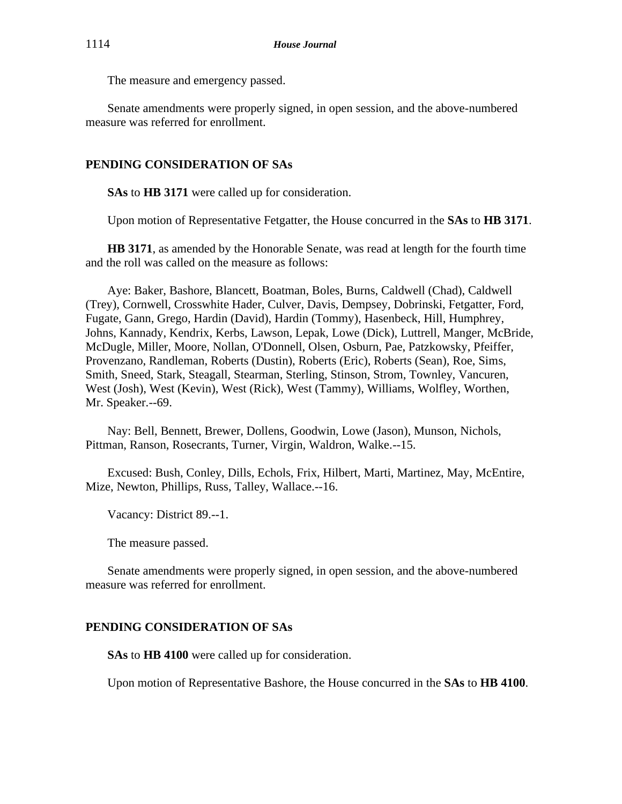The measure and emergency passed.

Senate amendments were properly signed, in open session, and the above-numbered measure was referred for enrollment.

# **PENDING CONSIDERATION OF SAs**

**SAs** to **HB 3171** were called up for consideration.

Upon motion of Representative Fetgatter, the House concurred in the **SAs** to **HB 3171**.

**HB 3171**, as amended by the Honorable Senate, was read at length for the fourth time and the roll was called on the measure as follows:

Aye: Baker, Bashore, Blancett, Boatman, Boles, Burns, Caldwell (Chad), Caldwell (Trey), Cornwell, Crosswhite Hader, Culver, Davis, Dempsey, Dobrinski, Fetgatter, Ford, Fugate, Gann, Grego, Hardin (David), Hardin (Tommy), Hasenbeck, Hill, Humphrey, Johns, Kannady, Kendrix, Kerbs, Lawson, Lepak, Lowe (Dick), Luttrell, Manger, McBride, McDugle, Miller, Moore, Nollan, O'Donnell, Olsen, Osburn, Pae, Patzkowsky, Pfeiffer, Provenzano, Randleman, Roberts (Dustin), Roberts (Eric), Roberts (Sean), Roe, Sims, Smith, Sneed, Stark, Steagall, Stearman, Sterling, Stinson, Strom, Townley, Vancuren, West (Josh), West (Kevin), West (Rick), West (Tammy), Williams, Wolfley, Worthen, Mr. Speaker.--69.

Nay: Bell, Bennett, Brewer, Dollens, Goodwin, Lowe (Jason), Munson, Nichols, Pittman, Ranson, Rosecrants, Turner, Virgin, Waldron, Walke.--15.

Excused: Bush, Conley, Dills, Echols, Frix, Hilbert, Marti, Martinez, May, McEntire, Mize, Newton, Phillips, Russ, Talley, Wallace.--16.

Vacancy: District 89.--1.

The measure passed.

Senate amendments were properly signed, in open session, and the above-numbered measure was referred for enrollment.

## **PENDING CONSIDERATION OF SAs**

**SAs** to **HB 4100** were called up for consideration.

Upon motion of Representative Bashore, the House concurred in the **SAs** to **HB 4100**.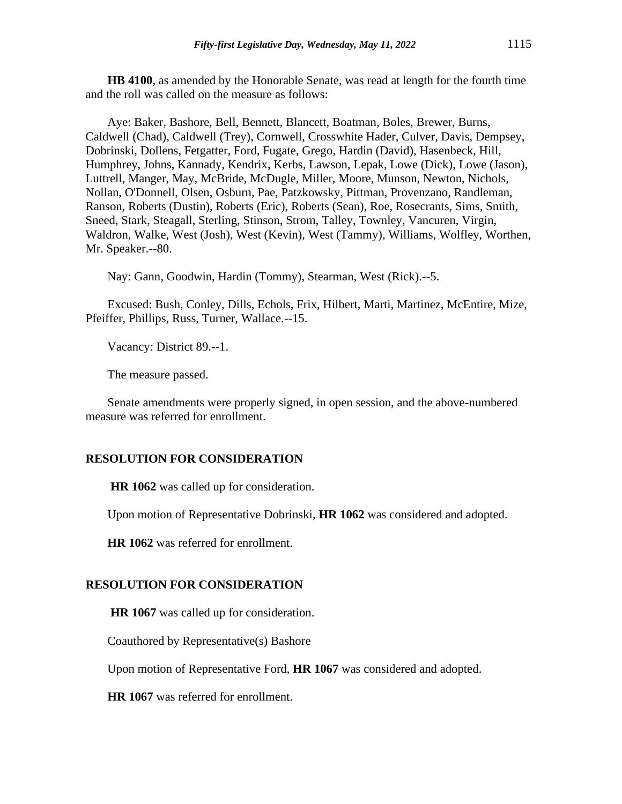**HB 4100**, as amended by the Honorable Senate, was read at length for the fourth time and the roll was called on the measure as follows:

Aye: Baker, Bashore, Bell, Bennett, Blancett, Boatman, Boles, Brewer, Burns, Caldwell (Chad), Caldwell (Trey), Cornwell, Crosswhite Hader, Culver, Davis, Dempsey, Dobrinski, Dollens, Fetgatter, Ford, Fugate, Grego, Hardin (David), Hasenbeck, Hill, Humphrey, Johns, Kannady, Kendrix, Kerbs, Lawson, Lepak, Lowe (Dick), Lowe (Jason), Luttrell, Manger, May, McBride, McDugle, Miller, Moore, Munson, Newton, Nichols, Nollan, O'Donnell, Olsen, Osburn, Pae, Patzkowsky, Pittman, Provenzano, Randleman, Ranson, Roberts (Dustin), Roberts (Eric), Roberts (Sean), Roe, Rosecrants, Sims, Smith, Sneed, Stark, Steagall, Sterling, Stinson, Strom, Talley, Townley, Vancuren, Virgin, Waldron, Walke, West (Josh), West (Kevin), West (Tammy), Williams, Wolfley, Worthen, Mr. Speaker.--80.

Nay: Gann, Goodwin, Hardin (Tommy), Stearman, West (Rick).--5.

Excused: Bush, Conley, Dills, Echols, Frix, Hilbert, Marti, Martinez, McEntire, Mize, Pfeiffer, Phillips, Russ, Turner, Wallace.--15.

Vacancy: District 89.--1.

The measure passed.

Senate amendments were properly signed, in open session, and the above-numbered measure was referred for enrollment.

#### **RESOLUTION FOR CONSIDERATION**

**HR 1062** was called up for consideration.

Upon motion of Representative Dobrinski, **HR 1062** was considered and adopted.

**HR 1062** was referred for enrollment.

#### **RESOLUTION FOR CONSIDERATION**

**HR 1067** was called up for consideration.

Coauthored by Representative(s) Bashore

Upon motion of Representative Ford, **HR 1067** was considered and adopted.

**HR 1067** was referred for enrollment.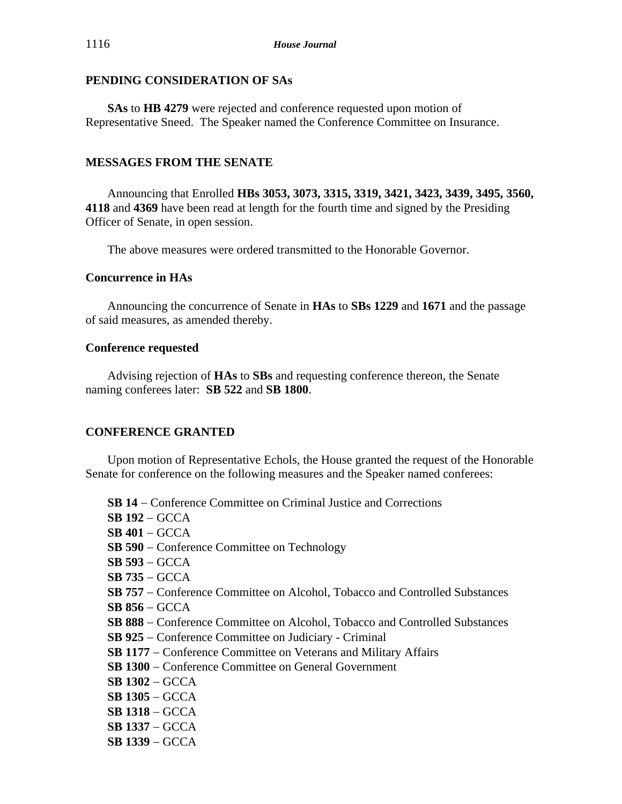## **PENDING CONSIDERATION OF SAs**

**SAs** to **HB 4279** were rejected and conference requested upon motion of Representative Sneed. The Speaker named the Conference Committee on Insurance.

# **MESSAGES FROM THE SENATE**

Announcing that Enrolled **HBs 3053, 3073, 3315, 3319, 3421, 3423, 3439, 3495, 3560, 4118** and **4369** have been read at length for the fourth time and signed by the Presiding Officer of Senate, in open session.

The above measures were ordered transmitted to the Honorable Governor.

## **Concurrence in HAs**

Announcing the concurrence of Senate in **HAs** to **SBs 1229** and **1671** and the passage of said measures, as amended thereby.

## **Conference requested**

Advising rejection of **HAs** to **SBs** and requesting conference thereon, the Senate naming conferees later: **SB 522** and **SB 1800**.

# **CONFERENCE GRANTED**

Upon motion of Representative Echols, the House granted the request of the Honorable Senate for conference on the following measures and the Speaker named conferees:

**SB 14** − Conference Committee on Criminal Justice and Corrections **SB 192** − GCCA **SB 401** − GCCA **SB 590** − Conference Committee on Technology **SB 593** − GCCA **SB 735** − GCCA **SB 757** − Conference Committee on Alcohol, Tobacco and Controlled Substances **SB 856** − GCCA **SB 888** − Conference Committee on Alcohol, Tobacco and Controlled Substances **SB 925** − Conference Committee on Judiciary - Criminal **SB 1177** − Conference Committee on Veterans and Military Affairs **SB 1300** − Conference Committee on General Government **SB 1302** − GCCA **SB 1305** − GCCA **SB 1318** − GCCA **SB 1337** − GCCA **SB 1339** − GCCA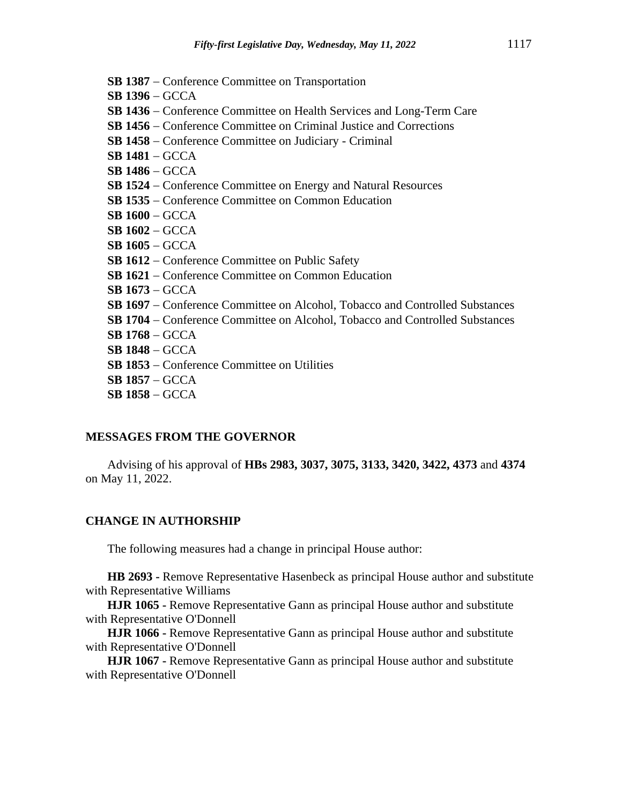- **SB 1387** − Conference Committee on Transportation
- **SB 1396** − GCCA
- **SB 1436** − Conference Committee on Health Services and Long-Term Care
- **SB 1456** − Conference Committee on Criminal Justice and Corrections
- **SB 1458** − Conference Committee on Judiciary Criminal
- **SB 1481** − GCCA
- **SB 1486** − GCCA
- **SB 1524** − Conference Committee on Energy and Natural Resources
- **SB 1535** − Conference Committee on Common Education
- **SB 1600** − GCCA
- **SB 1602** − GCCA
- **SB 1605** − GCCA
- **SB 1612** − Conference Committee on Public Safety
- **SB 1621** − Conference Committee on Common Education
- **SB 1673** − GCCA
- **SB 1697** − Conference Committee on Alcohol, Tobacco and Controlled Substances
- **SB 1704** − Conference Committee on Alcohol, Tobacco and Controlled Substances
- **SB 1768** − GCCA
- **SB 1848** − GCCA
- **SB 1853** − Conference Committee on Utilities
- **SB 1857** − GCCA
- **SB 1858** − GCCA

#### **MESSAGES FROM THE GOVERNOR**

Advising of his approval of **HBs 2983, 3037, 3075, 3133, 3420, 3422, 4373** and **4374** on May 11, 2022.

#### **CHANGE IN AUTHORSHIP**

The following measures had a change in principal House author:

**HB 2693 -** Remove Representative Hasenbeck as principal House author and substitute with Representative Williams

**HJR 1065 -** Remove Representative Gann as principal House author and substitute with Representative O'Donnell

**HJR 1066 -** Remove Representative Gann as principal House author and substitute with Representative O'Donnell

**HJR 1067 -** Remove Representative Gann as principal House author and substitute with Representative O'Donnell